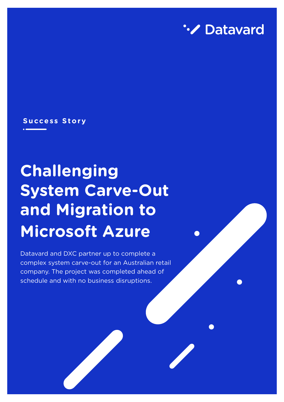

#### **Success Story**

# **Challenging System Carve-Out and Migration to Microsoft Azure**

Datavard and DXC partner up to complete a complex system carve-out for an Australian retail company. The project was completed ahead of schedule and with no business disruptions.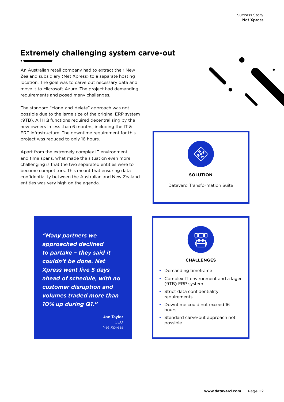#### **Extremely challenging system carve-out**

An Australian retail company had to extract their New Zealand subsidiary (Net Xpress) to a separate hosting location. The goal was to carve out necessary data and move it to Microsoft Azure. The project had demanding requirements and posed many challenges.

The standard "clone-and-delete" approach was not possible due to the large size of the original ERP system (9TB). All HQ functions required decentralising by the new owners in less than 6 months, including the IT & ERP infrastructure. The downtime requirement for this project was reduced to only 16 hours.

Apart from the extremely complex IT environment and time spans, what made the situation even more challenging is that the two separated entities were to become competitors. This meant that ensuring data confidentiality between the Australian and New Zealand entities was very high on the agenda.





*"Many partners we approached declined to partake – they said it couldn't be done. Net Xpress went live 5 days ahead of schedule, with no customer disruption and volumes traded more than 10% up during Q1."*

> **Joe Taylor** CEO Net Xpress

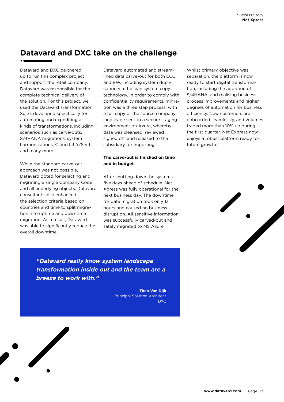#### **Datavard and DXC take on the challenge**

Datavard and DXC partnered up to run this complex project and support the retail company. Datavard was responsible for the complete technical delivery of the solution. For this project, we used the Datavard Transformation Suite, developed specifically for automating and expediting all kinds of transformations, including scenarios such as carve-outs, S/4HANA migrations, system harmonizations, Cloud Lift'n'Shift, and many more.

While the standard carve-out approach was not possible, Datavard opted for selecting and migrating a single Company Code and all underlying objects. Datavard consultants also enhanced the selection criteria based on countries and time to split migration into uptime and downtime migration. As a result, Datavard was able to significantly reduce the overall downtime.

Datavard automated and streamlined data carve-out for both ECC and BW, including system duplication via the lean system copy technology. In order to comply with confidentiality requirements, migration was a three step process, with a full copy of the source company landscape sent to a secure staging environment on Azure, whereby data was cleansed, reviewed , signed off, and released to the subsidiary for importing.

#### **The carve-out is finished on time and in budget**

After shutting down the systems five days ahead of schedule, Net Xpress was fully operational for the next business day. The downtime for data migration took only 13 hours and caused no business disruption. All sensitive information was successfully carved-out and safely migrated to MS Azure.

Whilst primary objective was separation, the platform is now ready to start digital transformation, including the adoption of S/4HANA, and realising business process improvements and higher degrees of automation for business efficiency. New customers are onboarded seamlessly, and volumes traded more than 10% up during the first quarter. Net Express now enjoys a robust platform ready for future growth.



*"Datavard really know system landscape transformation inside out and the team are a breeze to work with."*

> **Theo Van Dijk** Principal Solution Architect DXC